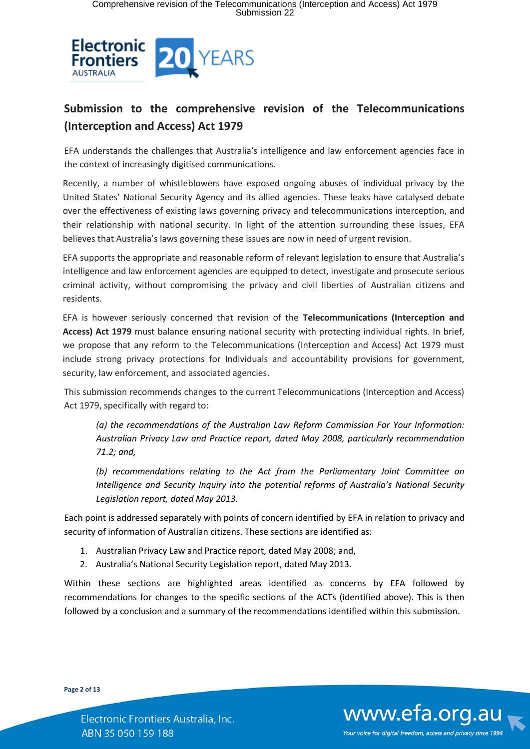

# **Submission to the comprehensive revision of the Telecommunications (Interception and Access) Act 1979**

EFA understands the challenges that Australia's intelligence and law enforcement agencies face in the context of increasingly digitised communications.

Recently, a number of whistleblowers have exposed ongoing abuses of individual privacy by the United States' National Security Agency and its allied agencies. These leaks have catalysed debate over the effectiveness of existing laws governing privacy and telecommunications interception, and their relationship with national security. In light of the attention surrounding these issues, EFA believes that Australia's laws governing these issues are now in need of urgent revision.

EFA supports the appropriate and reasonable reform of relevant legislation to ensure that Australia's intelligence and law enforcement agencies are equipped to detect, investigate and prosecute serious criminal activity, without compromising the privacy and civil liberties of Australian citizens and residents.

EFA is however seriously concerned that revision of the **Telecommunications (Interception and Access) Act 1979** must balance ensuring national security with protecting individual rights. In brief, we propose that any reform to the Telecommunications (Interception and Access) Act 1979 must include strong privacy protections for Individuals and accountability provisions for government, security, law enforcement, and associated agencies.

This submission recommends changes to the current Telecommunications (Interception and Access) Act 1979, specifically with regard to:

*(a) the recommendations of the Australian Law Reform Commission For Your Information: Australian Privacy Law and Practice report, dated May 2008, particularly recommendation 71.2; and,*

*(b) recommendations relating to the Act from the Parliamentary Joint Committee on Intelligence and Security Inquiry into the potential reforms of Australia's National Security Legislation report, dated May 2013.*

Each point is addressed separately with points of concern identified by EFA in relation to privacy and security of information of Australian citizens. These sections are identified as:

- 1. Australian Privacy Law and Practice report, dated May 2008; and,
- 2. Australia's National Security Legislation report, dated May 2013.

Within these sections are highlighted areas identified as concerns by EFA followed by recommendations for changes to the specific sections of the ACTs (identified above). This is then followed by a conclusion and a summary of the recommendations identified within this submission.

**Page 2 of 13**

Electronic Frontiers Australia, Inc. ABN 35 050 159 188

www.efa.org.au Your voice for digital freedom, access and privacy since 1994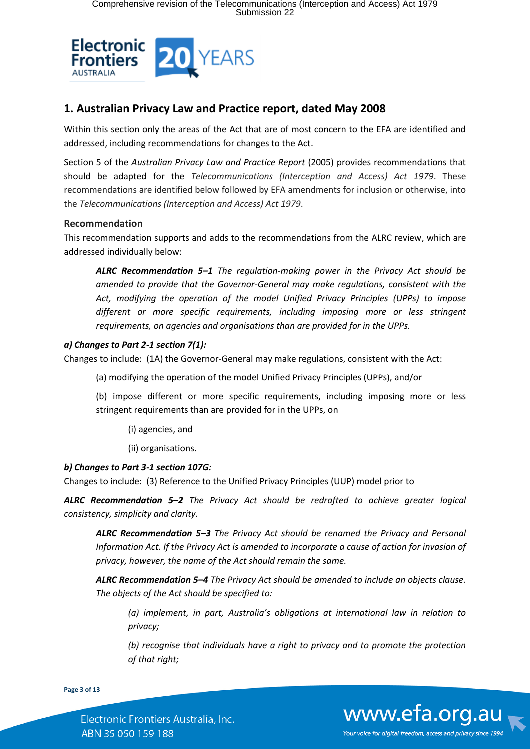

## **1. Australian Privacy Law and Practice report, dated May 2008**

Within this section only the areas of the Act that are of most concern to the EFA are identified and addressed, including recommendations for changes to the Act.

Section 5 of the *Australian Privacy Law and Practice Report* (2005) provides recommendations that should be adapted for the *Telecommunications (Interception and Access) Act 1979*. These recommendations are identified below followed by EFA amendments for inclusion or otherwise, into the *Telecommunications (Interception and Access) Act 1979*.

## **Recommendation**

This recommendation supports and adds to the recommendations from the ALRC review, which are addressed individually below:

*ALRC Recommendation 5–1 The regulation-making power in the Privacy Act should be amended to provide that the Governor-General may make regulations, consistent with the Act, modifying the operation of the model Unified Privacy Principles (UPPs) to impose different or more specific requirements, including imposing more or less stringent requirements, on agencies and organisations than are provided for in the UPPs.*

## *a) Changes to Part 2-1 section 7(1):*

Changes to include: (1A) the Governor-General may make regulations, consistent with the Act:

- (a) modifying the operation of the model Unified Privacy Principles (UPPs), and/or
- (b) impose different or more specific requirements, including imposing more or less stringent requirements than are provided for in the UPPs, on
	- (i) agencies, and
	- (ii) organisations.

## *b) Changes to Part 3-1 section 107G:*

Changes to include: (3) Reference to the Unified Privacy Principles (UUP) model prior to

*ALRC Recommendation 5–2 The Privacy Act should be redrafted to achieve greater logical consistency, simplicity and clarity.*

*ALRC Recommendation 5–3 The Privacy Act should be renamed the Privacy and Personal Information Act. If the Privacy Act is amended to incorporate a cause of action for invasion of privacy, however, the name of the Act should remain the same.*

*ALRC Recommendation 5–4 The Privacy Act should be amended to include an objects clause. The objects of the Act should be specified to:*

*(a) implement, in part, Australia's obligations at international law in relation to privacy;*

*(b) recognise that individuals have a right to privacy and to promote the protection of that right;*

**Page 3 of 13**

Electronic Frontiers Australia, Inc. ABN 35 050 159 188

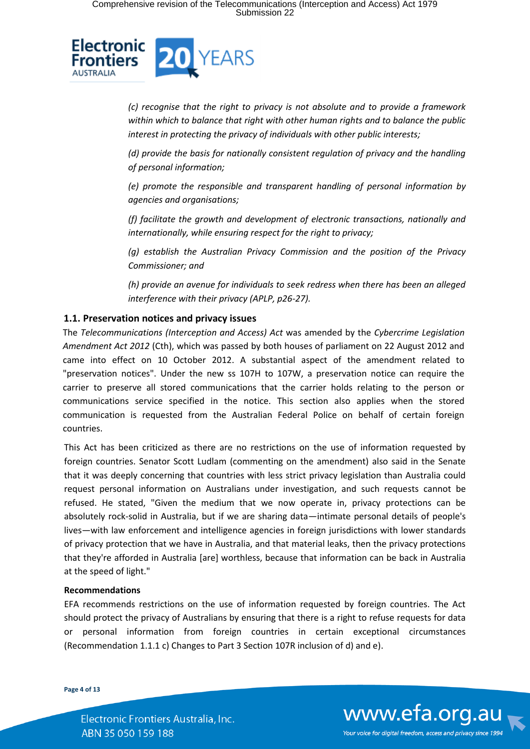

*(c) recognise that the right to privacy is not absolute and to provide a framework within which to balance that right with other human rights and to balance the public interest in protecting the privacy of individuals with other public interests;*

*(d) provide the basis for nationally consistent regulation of privacy and the handling of personal information;*

*(e) promote the responsible and transparent handling of personal information by agencies and organisations;*

*(f) facilitate the growth and development of electronic transactions, nationally and internationally, while ensuring respect for the right to privacy;*

*(g) establish the Australian Privacy Commission and the position of the Privacy Commissioner; and*

*(h) provide an avenue for individuals to seek redress when there has been an alleged interference with their privacy (APLP, p26-27).*

## **1.1. Preservation notices and privacy issues**

The *Telecommunications (Interception and Access) Act* was amended by the *Cybercrime Legislation Amendment Act 2012* (Cth), which was passed by both houses of parliament on 22 August 2012 and came into effect on 10 October 2012. A substantial aspect of the amendment related to "preservation notices". Under the new ss 107H to 107W, a preservation notice can require the carrier to preserve all stored communications that the carrier holds relating to the person or communications service specified in the notice. This section also applies when the stored communication is requested from the Australian Federal Police on behalf of certain foreign countries.

This Act has been criticized as there are no restrictions on the use of information requested by foreign countries. Senator Scott Ludlam (commenting on the amendment) also said in the Senate that it was deeply concerning that countries with less strict privacy legislation than Australia could request personal information on Australians under investigation, and such requests cannot be refused. He stated, "Given the medium that we now operate in, privacy protections can be absolutely rock-solid in Australia, but if we are sharing data—intimate personal details of people's lives—with law enforcement and intelligence agencies in foreign jurisdictions with lower standards of privacy protection that we have in Australia, and that material leaks, then the privacy protections that they're afforded in Australia [are] worthless, because that information can be back in Australia at the speed of light."

#### **Recommendations**

EFA recommends restrictions on the use of information requested by foreign countries. The Act should protect the privacy of Australians by ensuring that there is a right to refuse requests for data or personal information from foreign countries in certain exceptional circumstances (Recommendation 1.1.1 c) Changes to Part 3 Section 107R inclusion of d) and e).

**Page 4 of 13**

Electronic Frontiers Australia, Inc. ABN 35 050 159 188

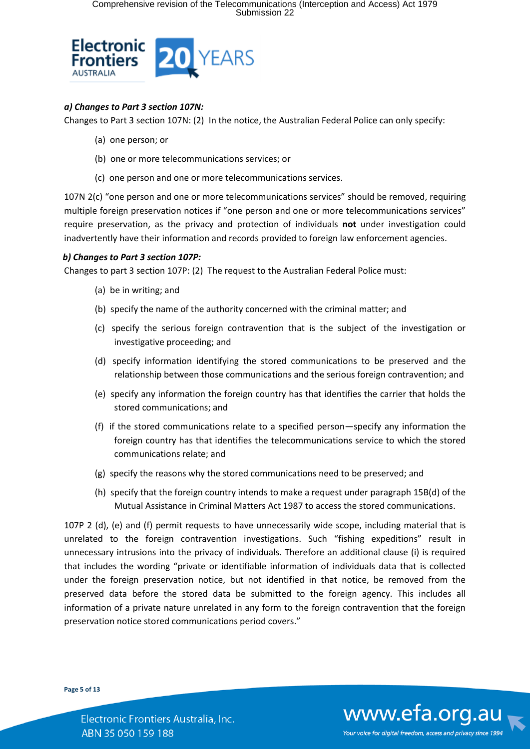

## *a) Changes to Part 3 section 107N:*

Changes to Part 3 section 107N: (2) In the notice, the Australian Federal Police can only specify:

- (a) one person; or
- (b) one or more telecommunications services; or
- (c) one person and one or more telecommunications services.

107N 2(c) "one person and one or more telecommunications services" should be removed, requiring multiple foreign preservation notices if "one person and one or more telecommunications services" require preservation, as the privacy and protection of individuals **not** under investigation could inadvertently have their information and records provided to foreign law enforcement agencies.

## *b) Changes to Part 3 section 107P:*

Changes to part 3 section 107P: (2) The request to the Australian Federal Police must:

- (a) be in writing; and
- (b) specify the name of the authority concerned with the criminal matter; and
- (c) specify the serious foreign contravention that is the subject of the investigation or investigative proceeding; and
- (d) specify information identifying the stored communications to be preserved and the relationship between those communications and the serious foreign contravention; and
- (e) specify any information the foreign country has that identifies the carrier that holds the stored communications; and
- (f) if the stored communications relate to a specified person—specify any information the foreign country has that identifies the telecommunications service to which the stored communications relate; and
- (g) specify the reasons why the stored communications need to be preserved; and
- (h) specify that the foreign country intends to make a request under paragraph 15B(d) of the Mutual Assistance in Criminal Matters Act 1987 to access the stored communications.

107P 2 (d), (e) and (f) permit requests to have unnecessarily wide scope, including material that is unrelated to the foreign contravention investigations. Such "fishing expeditions" result in unnecessary intrusions into the privacy of individuals. Therefore an additional clause (i) is required that includes the wording "private or identifiable information of individuals data that is collected under the foreign preservation notice, but not identified in that notice, be removed from the preserved data before the stored data be submitted to the foreign agency. This includes all information of a private nature unrelated in any form to the foreign contravention that the foreign preservation notice stored communications period covers."

**Page 5 of 13**

www.efa.org.au Your voice for digital freedom, access and privacy since 1994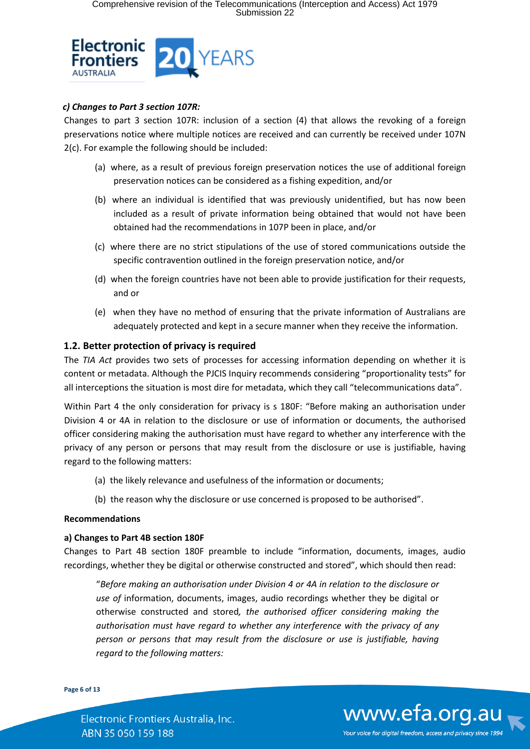

## *c) Changes to Part 3 section 107R:*

Changes to part 3 section 107R: inclusion of a section (4) that allows the revoking of a foreign preservations notice where multiple notices are received and can currently be received under 107N 2(c). For example the following should be included:

- (a) where, as a result of previous foreign preservation notices the use of additional foreign preservation notices can be considered as a fishing expedition, and/or
- (b) where an individual is identified that was previously unidentified, but has now been included as a result of private information being obtained that would not have been obtained had the recommendations in 107P been in place, and/or
- (c) where there are no strict stipulations of the use of stored communications outside the specific contravention outlined in the foreign preservation notice, and/or
- (d) when the foreign countries have not been able to provide justification for their requests, and or
- (e) when they have no method of ensuring that the private information of Australians are adequately protected and kept in a secure manner when they receive the information.

## **1.2. Better protection of privacy is required**

The *TIA Act* provides two sets of processes for accessing information depending on whether it is content or metadata. Although the PJCIS Inquiry recommends considering "proportionality tests" for all interceptions the situation is most dire for metadata, which they call "telecommunications data".

Within Part 4 the only consideration for privacy is s 180F: "Before making an authorisation under Division 4 or 4A in relation to the disclosure or use of information or documents, the authorised officer considering making the authorisation must have regard to whether any interference with the privacy of any person or persons that may result from the disclosure or use is justifiable, having regard to the following matters:

- (a) the likely relevance and usefulness of the information or documents;
- (b) the reason why the disclosure or use concerned is proposed to be authorised".

## **Recommendations**

## **a) Changes to Part 4B section 180F**

Changes to Part 4B section 180F preamble to include "information, documents, images, audio recordings, whether they be digital or otherwise constructed and stored", which should then read:

"*Before making an authorisation under Division 4 or 4A in relation to the disclosure or use of* information, documents, images, audio recordings whether they be digital or otherwise constructed and stored*, the authorised officer considering making the authorisation must have regard to whether any interference with the privacy of any person or persons that may result from the disclosure or use is justifiable, having regard to the following matters:*

**Page 6 of 13**

Electronic Frontiers Australia, Inc. ABN 35 050 159 188

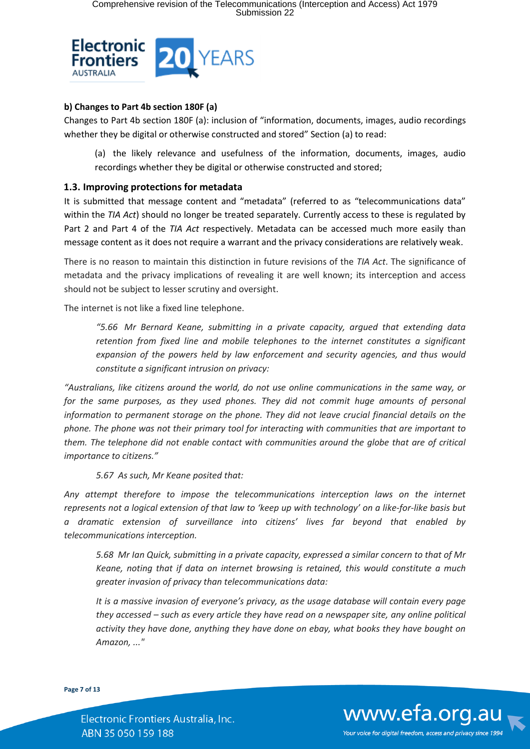

## **b) Changes to Part 4b section 180F (a)**

Changes to Part 4b section 180F (a): inclusion of "information, documents, images, audio recordings whether they be digital or otherwise constructed and stored" Section (a) to read:

(a) the likely relevance and usefulness of the information, documents, images, audio recordings whether they be digital or otherwise constructed and stored;

## **1.3. Improving protections for metadata**

It is submitted that message content and "metadata" (referred to as "telecommunications data" within the *TIA Act*) should no longer be treated separately. Currently access to these is regulated by Part 2 and Part 4 of the *TIA Act* respectively. Metadata can be accessed much more easily than message content as it does not require a warrant and the privacy considerations are relatively weak.

There is no reason to maintain this distinction in future revisions of the *TIA Act*. The significance of metadata and the privacy implications of revealing it are well known; its interception and access should not be subject to lesser scrutiny and oversight.

The internet is not like a fixed line telephone.

*"5.66 Mr Bernard Keane, submitting in a private capacity, argued that extending data retention from fixed line and mobile telephones to the internet constitutes a significant expansion of the powers held by law enforcement and security agencies, and thus would constitute a significant intrusion on privacy:*

*"Australians, like citizens around the world, do not use online communications in the same way, or*  for the same purposes, as they used phones. They did not commit huge amounts of personal *information to permanent storage on the phone. They did not leave crucial financial details on the phone. The phone was not their primary tool for interacting with communities that are important to them. The telephone did not enable contact with communities around the globe that are of critical importance to citizens."* 

*5.67 As such, Mr Keane posited that:*

*Any attempt therefore to impose the telecommunications interception laws on the internet represents not a logical extension of that law to 'keep up with technology' on a like‐for‐like basis but a dramatic extension of surveillance into citizens' lives far beyond that enabled by telecommunications interception.*

*5.68 Mr Ian Quick, submitting in a private capacity, expressed a similar concern to that of Mr Keane, noting that if data on internet browsing is retained, this would constitute a much greater invasion of privacy than telecommunications data:*

*It is a massive invasion of everyone's privacy, as the usage database will contain every page they accessed – such as every article they have read on a newspaper site, any online political activity they have done, anything they have done on ebay, what books they have bought on Amazon, ..."*

**Page 7 of 13**

Electronic Frontiers Australia, Inc. ABN 35 050 159 188

www.efa.org.au Your voice for digital freedom, access and privacy since 1994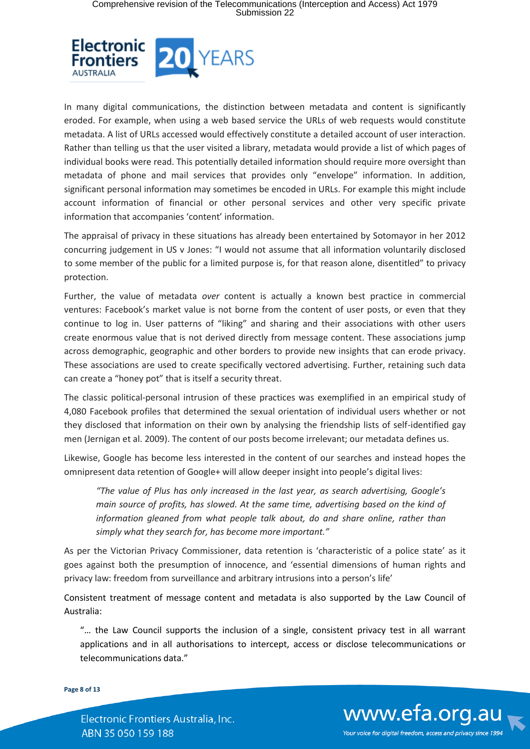

In many digital communications, the distinction between metadata and content is significantly eroded. For example, when using a web based service the URLs of web requests would constitute metadata. A list of URLs accessed would effectively constitute a detailed account of user interaction. Rather than telling us that the user visited a library, metadata would provide a list of which pages of individual books were read. This potentially detailed information should require more oversight than metadata of phone and mail services that provides only "envelope" information. In addition, significant personal information may sometimes be encoded in URLs. For example this might include account information of financial or other personal services and other very specific private information that accompanies 'content' information.

The appraisal of privacy in these situations has already been entertained by Sotomayor in her 2012 concurring judgement in US v Jones: "I would not assume that all information voluntarily disclosed to some member of the public for a limited purpose is, for that reason alone, disentitled" to privacy protection.

Further, the value of metadata *over* content is actually a known best practice in commercial ventures: Facebook's market value is not borne from the content of user posts, or even that they continue to log in. User patterns of "liking" and sharing and their associations with other users create enormous value that is not derived directly from message content. These associations jump across demographic, geographic and other borders to provide new insights that can erode privacy. These associations are used to create specifically vectored advertising. Further, retaining such data can create a "honey pot" that is itself a security threat.

The classic political-personal intrusion of these practices was exemplified in an empirical study of 4,080 Facebook profiles that determined the sexual orientation of individual users whether or not they disclosed that information on their own by analysing the friendship lists of self-identified gay men (Jernigan et al. 2009). The content of our posts become irrelevant; our metadata defines us.

Likewise, Google has become less interested in the content of our searches and instead hopes the omnipresent data retention of Google+ will allow deeper insight into people's digital lives:

*"The value of Plus has only increased in the last year, as search advertising, Google's main source of profits, has slowed. At the same time, advertising based on the kind of information gleaned from what people talk about, do and share online, rather than simply what they search for, has become more important."*

As per the Victorian Privacy Commissioner, data retention is 'characteristic of a police state' as it goes against both the presumption of innocence, and 'essential dimensions of human rights and privacy law: freedom from surveillance and arbitrary intrusions into a person's life'

Consistent treatment of message content and metadata is also supported by the Law Council of Australia:

"… the Law Council supports the inclusion of a single, consistent privacy test in all warrant applications and in all authorisations to intercept, access or disclose telecommunications or telecommunications data."

**Page 8 of 13**

Electronic Frontiers Australia, Inc. ABN 35 050 159 188

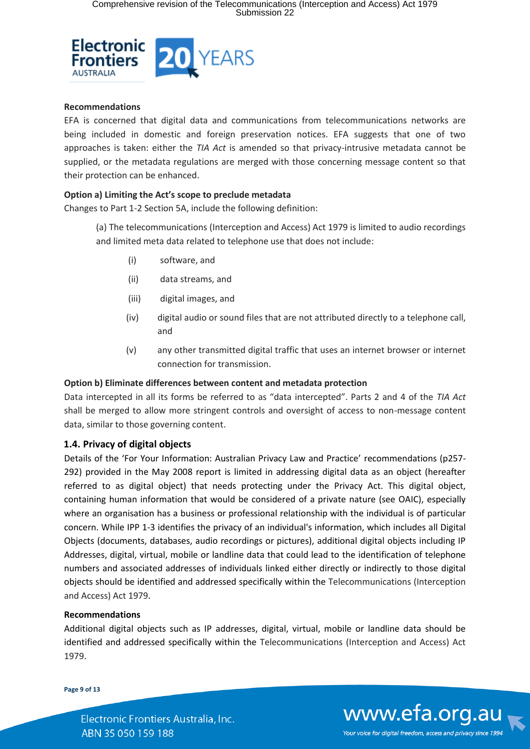

### **Recommendations**

EFA is concerned that digital data and communications from telecommunications networks are being included in domestic and foreign preservation notices. EFA suggests that one of two approaches is taken: either the *TIA Act* is amended so that privacy-intrusive metadata cannot be supplied, or the metadata regulations are merged with those concerning message content so that their protection can be enhanced.

#### **Option a) Limiting the Act's scope to preclude metadata**

Changes to Part 1-2 Section 5A, include the following definition:

(a) The telecommunications (Interception and Access) Act 1979 is limited to audio recordings and limited meta data related to telephone use that does not include:

- (i) software, and
- (ii) data streams, and
- (iii) digital images, and
- (iv) digital audio or sound files that are not attributed directly to a telephone call, and
- (v) any other transmitted digital traffic that uses an internet browser or internet connection for transmission.

#### **Option b) Eliminate differences between content and metadata protection**

Data intercepted in all its forms be referred to as "data intercepted". Parts 2 and 4 of the *TIA Act* shall be merged to allow more stringent controls and oversight of access to non-message content data, similar to those governing content.

## **1.4. Privacy of digital objects**

Details of the 'For Your Information: Australian Privacy Law and Practice' recommendations (p257- 292) provided in the May 2008 report is limited in addressing digital data as an object (hereafter referred to as digital object) that needs protecting under the Privacy Act. This digital object, containing human information that would be considered of a private nature (see OAIC), especially where an organisation has a business or professional relationship with the individual is of particular concern. While IPP 1-3 identifies the privacy of an individual's information, which includes all Digital Objects (documents, databases, audio recordings or pictures), additional digital objects including IP Addresses, digital, virtual, mobile or landline data that could lead to the identification of telephone numbers and associated addresses of individuals linked either directly or indirectly to those digital objects should be identified and addressed specifically within the Telecommunications (Interception and Access) Act 1979.

#### **Recommendations**

Additional digital objects such as IP addresses, digital, virtual, mobile or landline data should be identified and addressed specifically within the Telecommunications (Interception and Access) Act 1979.

#### **Page 9 of 13**

Electronic Frontiers Australia, Inc. ABN 35 050 159 188

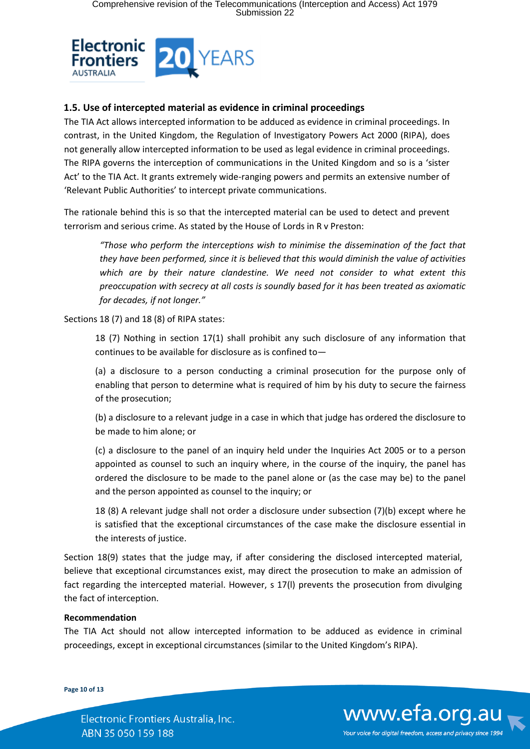

## **1.5. Use of intercepted material as evidence in criminal proceedings**

The TIA Act allows intercepted information to be adduced as evidence in criminal proceedings. In contrast, in the United Kingdom, the Regulation of Investigatory Powers Act 2000 (RIPA), does not generally allow intercepted information to be used as legal evidence in criminal proceedings. The RIPA governs the interception of communications in the United Kingdom and so is a 'sister Act' to the TIA Act. It grants extremely wide-ranging powers and permits an extensive number of 'Relevant Public Authorities' to intercept private communications.

The rationale behind this is so that the intercepted material can be used to detect and prevent terrorism and serious crime. As stated by the House of Lords in R v Preston:

*"Those who perform the interceptions wish to minimise the dissemination of the fact that they have been performed, since it is believed that this would diminish the value of activities which are by their nature clandestine. We need not consider to what extent this preoccupation with secrecy at all costs is soundly based for it has been treated as axiomatic for decades, if not longer."*

Sections 18 (7) and 18 (8) of RIPA states:

18 (7) Nothing in section 17(1) shall prohibit any such disclosure of any information that continues to be available for disclosure as is confined to—

(a) a disclosure to a person conducting a criminal prosecution for the purpose only of enabling that person to determine what is required of him by his duty to secure the fairness of the prosecution;

(b) a disclosure to a relevant judge in a case in which that judge has ordered the disclosure to be made to him alone; or

(c) a disclosure to the panel of an inquiry held under the Inquiries Act 2005 or to a person appointed as counsel to such an inquiry where, in the course of the inquiry, the panel has ordered the disclosure to be made to the panel alone or (as the case may be) to the panel and the person appointed as counsel to the inquiry; or

18 (8) A relevant judge shall not order a disclosure under subsection (7)(b) except where he is satisfied that the exceptional circumstances of the case make the disclosure essential in the interests of justice.

Section 18(9) states that the judge may, if after considering the disclosed intercepted material, believe that exceptional circumstances exist, may direct the prosecution to make an admission of fact regarding the intercepted material. However, s 17(l) prevents the prosecution from divulging the fact of interception.

## **Recommendation**

The TIA Act should not allow intercepted information to be adduced as evidence in criminal proceedings, except in exceptional circumstances (similar to the United Kingdom's RIPA).

**Page 10 of 13**

Electronic Frontiers Australia, Inc. ABN 35 050 159 188

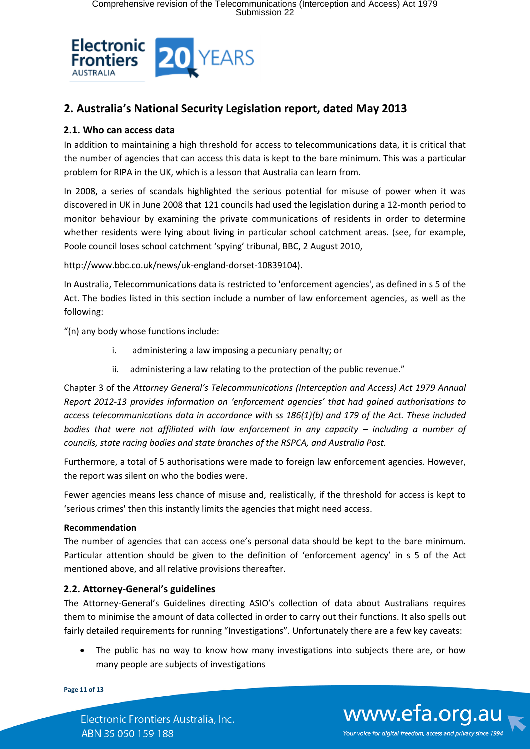

## **2. Australia's National Security Legislation report, dated May 2013**

## **2.1. Who can access data**

In addition to maintaining a high threshold for access to telecommunications data, it is critical that the number of agencies that can access this data is kept to the bare minimum. This was a particular problem for RIPA in the UK, which is a lesson that Australia can learn from.

In 2008, a series of scandals highlighted the serious potential for misuse of power when it was discovered in UK in June 2008 that 121 councils had used the legislation during a 12-month period to monitor behaviour by examining the private communications of residents in order to determine whether residents were lying about living in particular school catchment areas. (see, for example, Poole council loses school catchment 'spying' tribunal, BBC, 2 August 2010,

http://www.bbc.co.uk/news/uk-england-dorset-10839104).

In Australia, Telecommunications data is restricted to 'enforcement agencies', as defined in s 5 of the Act. The bodies listed in this section include a number of law enforcement agencies, as well as the following:

"(n) any body whose functions include:

- i. administering a law imposing a pecuniary penalty; or
- ii. administering a law relating to the protection of the public revenue."

Chapter 3 of the *Attorney General's Telecommunications (Interception and Access) Act 1979 Annual Report 2012-13 provides information on 'enforcement agencies' that had gained authorisations to access telecommunications data in accordance with ss 186(1)(b) and 179 of the Act. These included bodies that were not affiliated with law enforcement in any capacity – including a number of councils, state racing bodies and state branches of the RSPCA, and Australia Post.*

Furthermore, a total of 5 authorisations were made to foreign law enforcement agencies. However, the report was silent on who the bodies were.

Fewer agencies means less chance of misuse and, realistically, if the threshold for access is kept to 'serious crimes' then this instantly limits the agencies that might need access.

## **Recommendation**

The number of agencies that can access one's personal data should be kept to the bare minimum. Particular attention should be given to the definition of 'enforcement agency' in s 5 of the Act mentioned above, and all relative provisions thereafter.

## **2.2. Attorney-General's guidelines**

The Attorney-General's Guidelines directing ASIO's collection of data about Australians requires them to minimise the amount of data collected in order to carry out their functions. It also spells out fairly detailed requirements for running "Investigations". Unfortunately there are a few key caveats:

• The public has no way to know how many investigations into subjects there are, or how many people are subjects of investigations

**Page 11 of 13**

Electronic Frontiers Australia, Inc. ABN 35 050 159 188

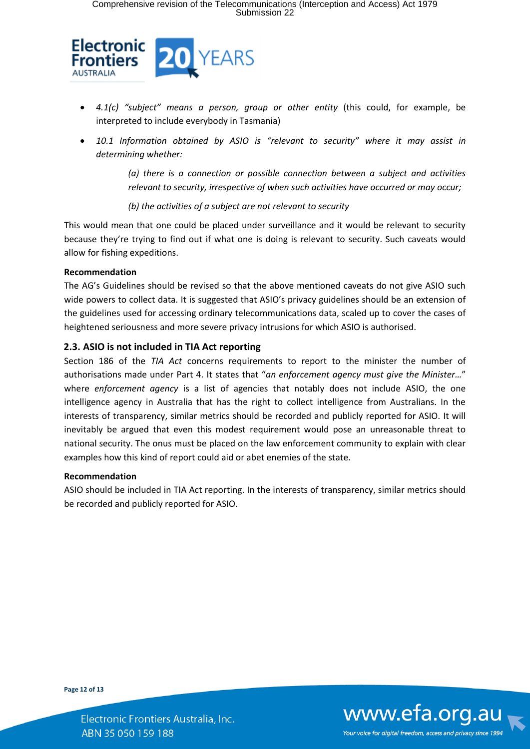

- *4.1(c) "subject" means a person, group or other entity* (this could, for example, be interpreted to include everybody in Tasmania)
- *10.1 Information obtained by ASIO is "relevant to security" where it may assist in determining whether:*

*(a) there is a connection or possible connection between a subject and activities relevant to security, irrespective of when such activities have occurred or may occur;*

*(b) the activities of a subject are not relevant to security*

This would mean that one could be placed under surveillance and it would be relevant to security because they're trying to find out if what one is doing is relevant to security. Such caveats would allow for fishing expeditions.

## **Recommendation**

The AG's Guidelines should be revised so that the above mentioned caveats do not give ASIO such wide powers to collect data. It is suggested that ASIO's privacy guidelines should be an extension of the guidelines used for accessing ordinary telecommunications data, scaled up to cover the cases of heightened seriousness and more severe privacy intrusions for which ASIO is authorised.

## **2.3. ASIO is not included in TIA Act reporting**

Section 186 of the *TIA Act* concerns requirements to report to the minister the number of authorisations made under Part 4. It states that "*an enforcement agency must give the Minister…*" where *enforcement agency* is a list of agencies that notably does not include ASIO, the one intelligence agency in Australia that has the right to collect intelligence from Australians. In the interests of transparency, similar metrics should be recorded and publicly reported for ASIO. It will inevitably be argued that even this modest requirement would pose an unreasonable threat to national security. The onus must be placed on the law enforcement community to explain with clear examples how this kind of report could aid or abet enemies of the state.

## **Recommendation**

ASIO should be included in TIA Act reporting. In the interests of transparency, similar metrics should be recorded and publicly reported for ASIO.

**Page 12 of 13**